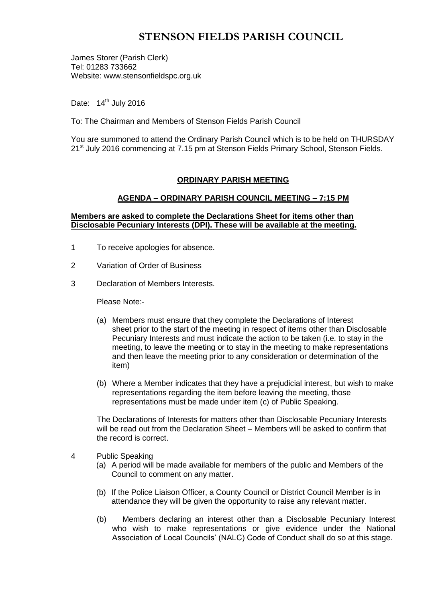# **STENSON FIELDS PARISH COUNCIL**

James Storer (Parish Clerk) Tel: 01283 733662 Website: www.stensonfieldspc.org.uk

Date: 14<sup>th</sup> July 2016

To: The Chairman and Members of Stenson Fields Parish Council

You are summoned to attend the Ordinary Parish Council which is to be held on THURSDAY 21<sup>st</sup> July 2016 commencing at 7.15 pm at Stenson Fields Primary School, Stenson Fields.

### **ORDINARY PARISH MEETING**

### **AGENDA – ORDINARY PARISH COUNCIL MEETING – 7:15 PM**

### **Members are asked to complete the Declarations Sheet for items other than Disclosable Pecuniary Interests (DPI). These will be available at the meeting.**

- 1 To receive apologies for absence.
- 2 Variation of Order of Business
- 3 Declaration of Members Interests.

Please Note:-

- (a) Members must ensure that they complete the Declarations of Interest sheet prior to the start of the meeting in respect of items other than Disclosable Pecuniary Interests and must indicate the action to be taken (i.e. to stay in the meeting, to leave the meeting or to stay in the meeting to make representations and then leave the meeting prior to any consideration or determination of the item)
- (b) Where a Member indicates that they have a prejudicial interest, but wish to make representations regarding the item before leaving the meeting, those representations must be made under item (c) of Public Speaking.

The Declarations of Interests for matters other than Disclosable Pecuniary Interests will be read out from the Declaration Sheet – Members will be asked to confirm that the record is correct.

- 4 Public Speaking
	- (a) A period will be made available for members of the public and Members of the Council to comment on any matter.
	- (b) If the Police Liaison Officer, a County Council or District Council Member is in attendance they will be given the opportunity to raise any relevant matter.
	- (b) Members declaring an interest other than a Disclosable Pecuniary Interest who wish to make representations or give evidence under the National Association of Local Councils' (NALC) Code of Conduct shall do so at this stage.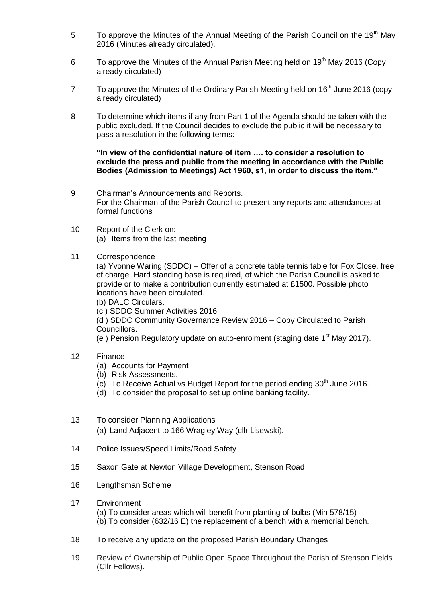- 5 To approve the Minutes of the Annual Meeting of the Parish Council on the 19<sup>th</sup> May 2016 (Minutes already circulated).
- 6 To approve the Minutes of the Annual Parish Meeting held on  $19<sup>th</sup>$  May 2016 (Copy already circulated)
- $7$  To approve the Minutes of the Ordinary Parish Meeting held on 16<sup>th</sup> June 2016 (copy already circulated)
- 8 To determine which items if any from Part 1 of the Agenda should be taken with the public excluded. If the Council decides to exclude the public it will be necessary to pass a resolution in the following terms: -

**"In view of the confidential nature of item …. to consider a resolution to exclude the press and public from the meeting in accordance with the Public Bodies (Admission to Meetings) Act 1960, s1, in order to discuss the item."** 

- 9 Chairman's Announcements and Reports. For the Chairman of the Parish Council to present any reports and attendances at formal functions
- 10 Report of the Clerk on: (a) Items from the last meeting
- 11 Correspondence

(a) Yvonne Waring (SDDC) – Offer of a concrete table tennis table for Fox Close, free of charge. Hard standing base is required, of which the Parish Council is asked to provide or to make a contribution currently estimated at £1500. Possible photo locations have been circulated.

- (b) DALC Circulars.
- (c ) SDDC Summer Activities 2016

(d ) SDDC Community Governance Review 2016 – Copy Circulated to Parish Councillors.

(e) Pension Regulatory update on auto-enrolment (staging date  $1<sup>st</sup>$  May 2017).

- 12 Finance
	- (a) Accounts for Payment
	- (b) Risk Assessments.
	- (c) To Receive Actual vs Budget Report for the period ending  $30<sup>th</sup>$  June 2016.
	- (d) To consider the proposal to set up online banking facility.
- 13 To consider Planning Applications

(a) Land Adjacent to 166 Wragley Way (cllr Lisewski).

- 14 Police Issues/Speed Limits/Road Safety
- 15 Saxon Gate at Newton Village Development, Stenson Road
- 16 Lengthsman Scheme
- 17 Environment (a) To consider areas which will benefit from planting of bulbs (Min 578/15) (b) To consider (632/16 E) the replacement of a bench with a memorial bench.
- 18 To receive any update on the proposed Parish Boundary Changes
- 19 Review of Ownership of Public Open Space Throughout the Parish of Stenson Fields (Cllr Fellows).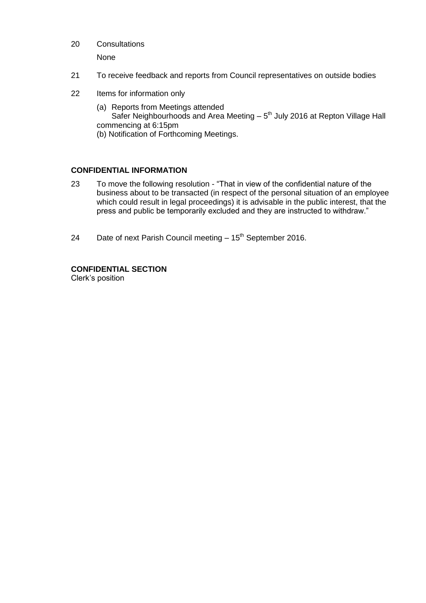20 Consultations

None

- 21 To receive feedback and reports from Council representatives on outside bodies
- 22 Items for information only
	- (a) Reports from Meetings attended Safer Neighbourhoods and Area Meeting  $-5<sup>th</sup>$  July 2016 at Repton Village Hall commencing at 6:15pm (b) Notification of Forthcoming Meetings.

### **CONFIDENTIAL INFORMATION**

- 23 To move the following resolution "That in view of the confidential nature of the business about to be transacted (in respect of the personal situation of an employee which could result in legal proceedings) it is advisable in the public interest, that the press and public be temporarily excluded and they are instructed to withdraw."
- 24 Date of next Parish Council meeting  $-15<sup>th</sup>$  September 2016.

## **CONFIDENTIAL SECTION**

Clerk's position